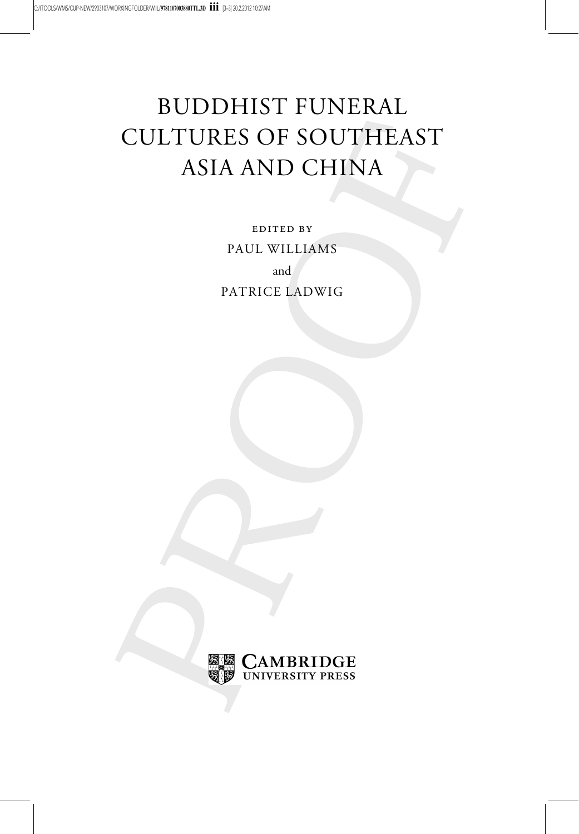# BUDDHIST FUNERAL CULTURES OF SOUTHEAST ASIA AND CHINA

edited by PAUL WILLIAMS and PATRICE LADWIG

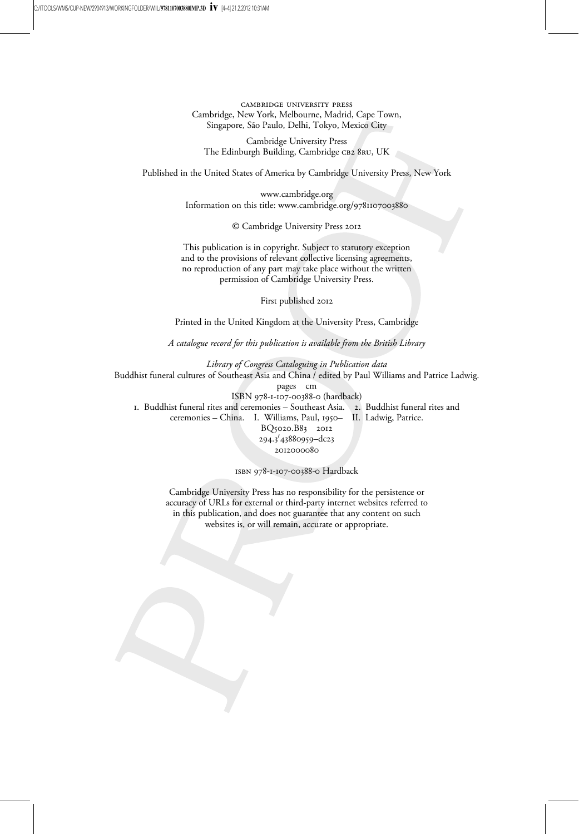cambridge university press Cambridge, New York, Melbourne, Madrid, Cape Town, Singapore, São Paulo, Delhi, Tokyo, Mexico City

Cambridge University Press The Edinburgh Building, Cambridge CB2 8RU, UK

Published in the United States of America by Cambridge University Press, New York

www.cambridge.org Information on this title: www.cambridge.org/9781107003880

© Cambridge University Press 2012

This publication is in copyright. Subject to statutory exception and to the provisions of relevant collective licensing agreements, no reproduction of any part may take place without the written permission of Cambridge University Press.

First published 2012

Printed in the United Kingdom at the University Press, Cambridge

A catalogue record for this publication is available from the British Library

Library of Congress Cataloguing in Publication data Buddhist funeral cultures of Southeast Asia and China / edited by Paul Williams and Patrice Ladwig. pages cm

ISBN 978-1-107-00388-0 (hardback) 1. Buddhist funeral rites and ceremonies – Southeast Asia. 2. Buddhist funeral rites and ceremonies – China. I. Williams, Paul, 1950– II. Ladwig, Patrice. BQ5020.B83 2012 294.3<sup>'</sup>43880959-dc23 2012000080

isbn 978-1-107-00388-0 Hardback

Cambridge University Press has no responsibility for the persistence or accuracy of URLs for external or third-party internet websites referred to in this publication, and does not guarantee that any content on such websites is, or will remain, accurate or appropriate.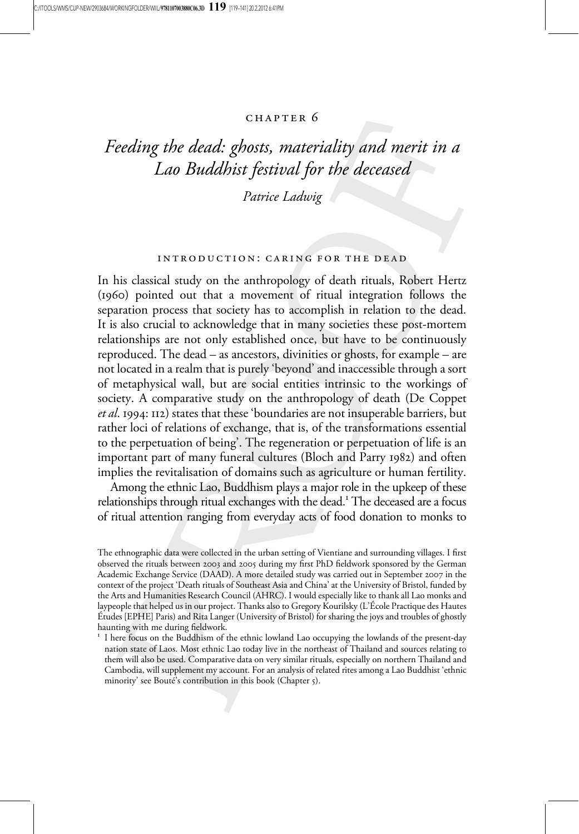# chapter 6

# Feeding the dead: ghosts, materiality and merit in a Lao Buddhist festival for the deceased

Patrice Ladwig

#### introduction: caring for the dead

In his classical study on the anthropology of death rituals, Robert Hertz (1960) pointed out that a movement of ritual integration follows the separation process that society has to accomplish in relation to the dead. It is also crucial to acknowledge that in many societies these post-mortem relationships are not only established once, but have to be continuously reproduced. The dead – as ancestors, divinities or ghosts, for example – are not located in a realm that is purely 'beyond' and inaccessible through a sort of metaphysical wall, but are social entities intrinsic to the workings of society. A comparative study on the anthropology of death (De Coppet et al. 1994: 112) states that these'boundaries are not insuperable barriers, but rather loci of relations of exchange, that is, of the transformations essential to the perpetuation of being'. The regeneration or perpetuation of life is an important part of many funeral cultures (Bloch and Parry 1982) and often implies the revitalisation of domains such as agriculture or human fertility.

Among the ethnic Lao, Buddhism plays a major role in the upkeep of these relationships through ritual exchanges with the dead.<sup>1</sup> The deceased are a focus of ritual attention ranging from everyday acts of food donation to monks to

The ethnographic data were collected in the urban setting of Vientiane and surrounding villages. I first observed the rituals between 2003 and 2005 during my first PhD fieldwork sponsored by the German Academic Exchange Service (DAAD). A more detailed study was carried out in September 2007 in the context of the project 'Death rituals of Southeast Asia and China' at the University of Bristol, funded by the Arts and Humanities Research Council (AHRC). I would especially like to thank all Lao monks and laypeople that helped us in our project. Thanks also to Gregory Kourilsky (L'École Practique des Hautes Études [EPHE] Paris) and Rita Langer (University of Bristol) for sharing the joys and troubles of ghostly haunting with me during fieldwork.<br><sup>1</sup> I here focus on the Buddhism of the ethnic lowland Lao occupying the lowlands of the present-day

nation state of Laos. Most ethnic Lao today live in the northeast of Thailand and sources relating to them will also be used. Comparative data on very similar rituals, especially on northern Thailand and Cambodia, will supplement my account. For an analysis of related rites among a Lao Buddhist 'ethnic minority' see Bouté's contribution in this book (Chapter 5).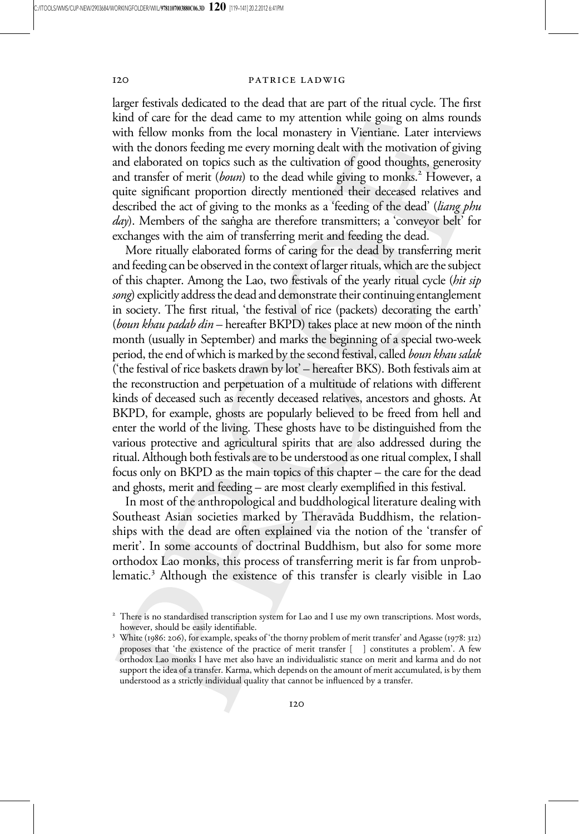#### 120 patrice ladwig

larger festivals dedicated to the dead that are part of the ritual cycle. The first kind of care for the dead came to my attention while going on alms rounds with fellow monks from the local monastery in Vientiane. Later interviews with the donors feeding me every morning dealt with the motivation of giving and elaborated on topics such as the cultivation of good thoughts, generosity and transfer of merit (*boun*) to the dead while giving to monks.<sup>2</sup> However, a quite significant proportion directly mentioned their deceased relatives and described the act of giving to the monks as a 'feeding of the dead' (liang phu  $day$ ). Members of the sangha are therefore transmitters; a 'conveyor belt' for exchanges with the aim of transferring merit and feeding the dead.

More ritually elaborated forms of caring for the dead by transferring merit and feeding can be observed in the context of larger rituals, which are the subject of this chapter. Among the Lao, two festivals of the yearly ritual cycle (hit sip song) explicitly address the dead and demonstrate their continuing entanglement in society. The first ritual, 'the festival of rice (packets) decorating the earth' (boun khau padab din – hereafter BKPD) takes place at new moon of the ninth month (usually in September) and marks the beginning of a special two-week period, the end of which is marked by the second festival, called *boun khau salak* ('the festival of rice baskets drawn by lot' – hereafter BKS). Both festivals aim at the reconstruction and perpetuation of a multitude of relations with different kinds of deceased such as recently deceased relatives, ancestors and ghosts. At BKPD, for example, ghosts are popularly believed to be freed from hell and enter the world of the living. These ghosts have to be distinguished from the various protective and agricultural spirits that are also addressed during the ritual. Although both festivals are to be understood as one ritual complex, I shall focus only on BKPD as the main topics of this chapter – the care for the dead and ghosts, merit and feeding – are most clearly exemplified in this festival.

In most of the anthropological and buddhological literature dealing with Southeast Asian societies marked by Theravāda Buddhism, the relationships with the dead are often explained via the notion of the 'transfer of merit'. In some accounts of doctrinal Buddhism, but also for some more orthodox Lao monks, this process of transferring merit is far from unproblematic.<sup>3</sup> Although the existence of this transfer is clearly visible in Lao

<sup>&</sup>lt;sup>2</sup> There is no standardised transcription system for Lao and I use my own transcriptions. Most words, however, should be easily identifiable. <sup>3</sup> White (1986: <sup>206</sup>), for example, speaks of 'the thorny problem of merit transfer' and Agasse (1978: <sup>312</sup>)

proposes that 'the existence of the practice of merit transfer [  $\,$  ] constitutes a problem'. A few orthodox Lao monks I have met also have an individualistic stance on merit and karma and do not support the idea of a transfer. Karma, which depends on the amount of merit accumulated, is by them understood as a strictly individual quality that cannot be influenced by a transfer.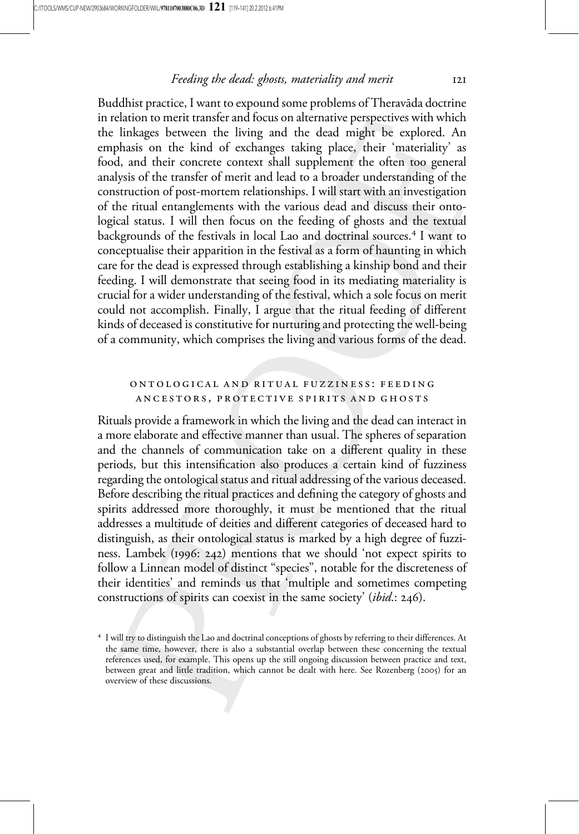Buddhist practice, I want to expound some problems of Theravāda doctrine in relation to merit transfer and focus on alternative perspectives with which the linkages between the living and the dead might be explored. An emphasis on the kind of exchanges taking place, their 'materiality' as food, and their concrete context shall supplement the often too general analysis of the transfer of merit and lead to a broader understanding of the construction of post-mortem relationships. I will start with an investigation of the ritual entanglements with the various dead and discuss their ontological status. I will then focus on the feeding of ghosts and the textual backgrounds of the festivals in local Lao and doctrinal sources.<sup>4</sup> I want to conceptualise their apparition in the festival as a form of haunting in which care for the dead is expressed through establishing a kinship bond and their feeding. I will demonstrate that seeing food in its mediating materiality is crucial for a wider understanding of the festival, which a sole focus on merit could not accomplish. Finally, I argue that the ritual feeding of different kinds of deceased is constitutive for nurturing and protecting the well-being of a community, which comprises the living and various forms of the dead.

# ontological and ritual fuzziness: feeding ancestors, protective spirits and ghosts

Rituals provide a framework in which the living and the dead can interact in a more elaborate and effective manner than usual. The spheres of separation and the channels of communication take on a different quality in these periods, but this intensification also produces a certain kind of fuzziness regarding the ontological status and ritual addressing of the various deceased. Before describing the ritual practices and defining the category of ghosts and spirits addressed more thoroughly, it must be mentioned that the ritual addresses a multitude of deities and different categories of deceased hard to distinguish, as their ontological status is marked by a high degree of fuzziness. Lambek (1996: 242) mentions that we should 'not expect spirits to follow a Linnean model of distinct "species", notable for the discreteness of their identities' and reminds us that 'multiple and sometimes competing constructions of spirits can coexist in the same society' (*ibid.*: 246).

<sup>4</sup> I will try to distinguish the Lao and doctrinal conceptions of ghosts by referring to their differences. At the same time, however, there is also a substantial overlap between these concerning the textual references used, for example. This opens up the still ongoing discussion between practice and text, between great and little tradition, which cannot be dealt with here. See Rozenberg (2005) for an overview of these discussions.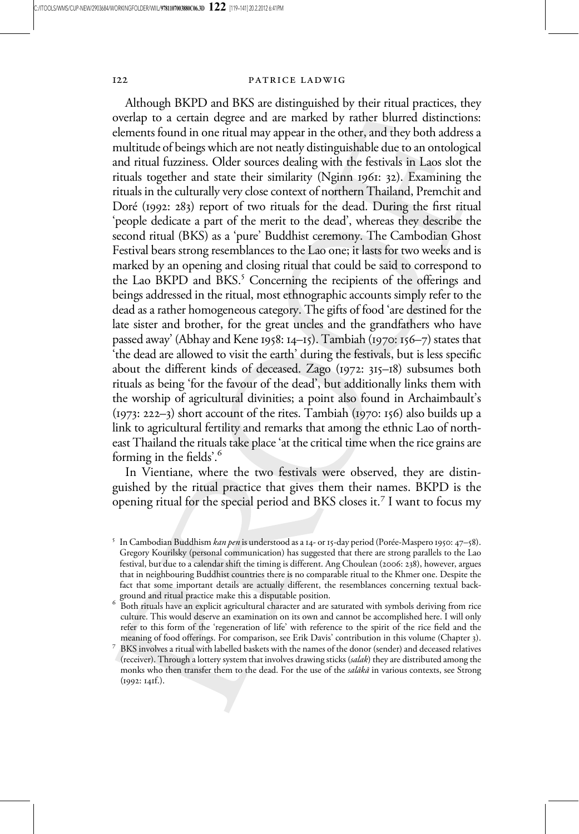#### 122 patrice ladwig

Although BKPD and BKS are distinguished by their ritual practices, they overlap to a certain degree and are marked by rather blurred distinctions: elements found in one ritual may appear in the other, and they both address a multitude of beings which are not neatly distinguishable due to an ontological and ritual fuzziness. Older sources dealing with the festivals in Laos slot the rituals together and state their similarity (Nginn 1961: 32). Examining the rituals in the culturally very close context of northern Thailand, Premchit and Doré (1992: 283) report of two rituals for the dead. During the first ritual 'people dedicate a part of the merit to the dead', whereas they describe the second ritual (BKS) as a 'pure' Buddhist ceremony. The Cambodian Ghost Festival bears strong resemblances to the Lao one; it lasts for two weeks and is marked by an opening and closing ritual that could be said to correspond to the Lao BKPD and BKS.<sup>5</sup> Concerning the recipients of the offerings and beings addressed in the ritual, most ethnographic accounts simply refer to the dead as a rather homogeneous category. The gifts of food 'are destined for the late sister and brother, for the great uncles and the grandfathers who have passed away' (Abhay and Kene 1958: 14–15). Tambiah (1970: 156–7) states that 'the dead are allowed to visit the earth' during the festivals, but is less specific about the different kinds of deceased. Zago (1972: 315–18) subsumes both rituals as being 'for the favour of the dead', but additionally links them with the worship of agricultural divinities; a point also found in Archaimbault's (1973: 222–3) short account of the rites. Tambiah (1970: 156) also builds up a link to agricultural fertility and remarks that among the ethnic Lao of northeast Thailand the rituals take place'at the critical time when the rice grains are forming in the fields'.<sup>6</sup>

In Vientiane, where the two festivals were observed, they are distinguished by the ritual practice that gives them their names. BKPD is the opening ritual for the special period and BKS closes it.<sup>7</sup> I want to focus my

<sup>&</sup>lt;sup>5</sup> In Cambodian Buddhism *kan pen* is understood as a 14- or 15-day period (Porée-Maspero 1950: 47–58). Gregory Kourilsky (personal communication) has suggested that there are strong parallels to the Lao festival, but due to a calendar shift the timing is different. Ang Choulean (2006: 238), however, argues that in neighbouring Buddhist countries there is no comparable ritual to the Khmer one. Despite the fact that some important details are actually different, the resemblances concerning textual back-ground and ritual practice make this a disputable position.

Both rituals have an explicit agricultural character and are saturated with symbols deriving from rice culture. This would deserve an examination on its own and cannot be accomplished here. I will only refer to this form of the 'regeneration of life' with reference to the spirit of the rice field and the meaning of food offerings. For comparison, see Erik Davis' contribution in this volume (Chapter 3).<br>BKS involves a ritual with labelled baskets with the names of the donor (sender) and deceased relatives

<sup>(</sup>receiver). Through a lottery system that involves drawing sticks (salak) they are distributed among the monks who then transfer them to the dead. For the use of the *salākā* in various contexts, see Strong (1992: 141f.).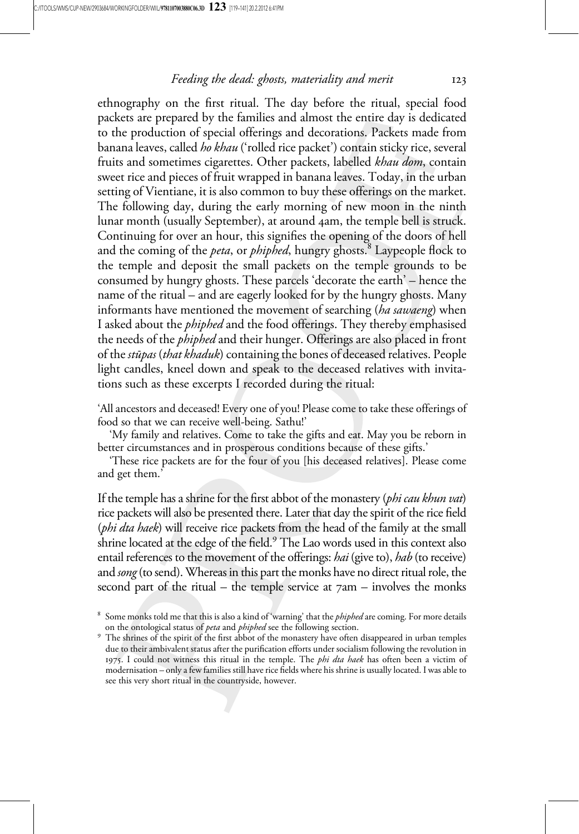ethnography on the first ritual. The day before the ritual, special food packets are prepared by the families and almost the entire day is dedicated to the production of special offerings and decorations. Packets made from banana leaves, called *ho khau* ('rolled rice packet') contain sticky rice, several fruits and sometimes cigarettes. Other packets, labelled khau dom, contain sweet rice and pieces of fruit wrapped in banana leaves. Today, in the urban setting of Vientiane, it is also common to buy these offerings on the market. The following day, during the early morning of new moon in the ninth lunar month (usually September), at around 4am, the temple bell is struck. Continuing for over an hour, this signifies the opening of the doors of hell and the coming of the *peta*, or *phiphed*, hungry ghosts.<sup>8</sup> Laypeople flock to the temple and deposit the small packets on the temple grounds to be consumed by hungry ghosts. These parcels 'decorate the earth' – hence the name of the ritual – and are eagerly looked for by the hungry ghosts. Many informants have mentioned the movement of searching (ha sawaeng) when I asked about the phiphed and the food offerings. They thereby emphasised the needs of the *phiphed* and their hunger. Offerings are also placed in front of the *stūpas* (*that khaduk*) containing the bones of deceased relatives. People light candles, kneel down and speak to the deceased relatives with invitations such as these excerpts I recorded during the ritual:

'All ancestors and deceased! Every one of you! Please come to take these offerings of food so that we can receive well-being. Sathu!'

'My family and relatives. Come to take the gifts and eat. May you be reborn in better circumstances and in prosperous conditions because of these gifts.'

'These rice packets are for the four of you [his deceased relatives]. Please come and get them.'

If the temple has a shrine for the first abbot of the monastery (phi cau khun vat) rice packets will also be presented there. Later that day the spirit of the rice field (*phi dta haek*) will receive rice packets from the head of the family at the small shrine located at the edge of the field.<sup>9</sup> The Lao words used in this context also entail references to the movement of the offerings: hai (give to), hab (to receive) and song (to send). Whereas in this part the monks have no direct ritual role, the second part of the ritual – the temple service at 7am – involves the monks

<sup>&</sup>lt;sup>8</sup> Some monks told me that this is also a kind of 'warning' that the *phiphed* are coming. For more details

on the ontological status of *peta* and *phiphed* see the following section.  $9$  The shrines of the spirit of the first abbot of the monastery have often disappeared in urban temples due to their ambivalent status after the purification efforts under socialism following the revolution in 1975. I could not witness this ritual in the temple. The *phi dta haek* has often been a victim of modernisation – only a few families still have rice fields where his shrine is usually located. I was able to see this very short ritual in the countryside, however.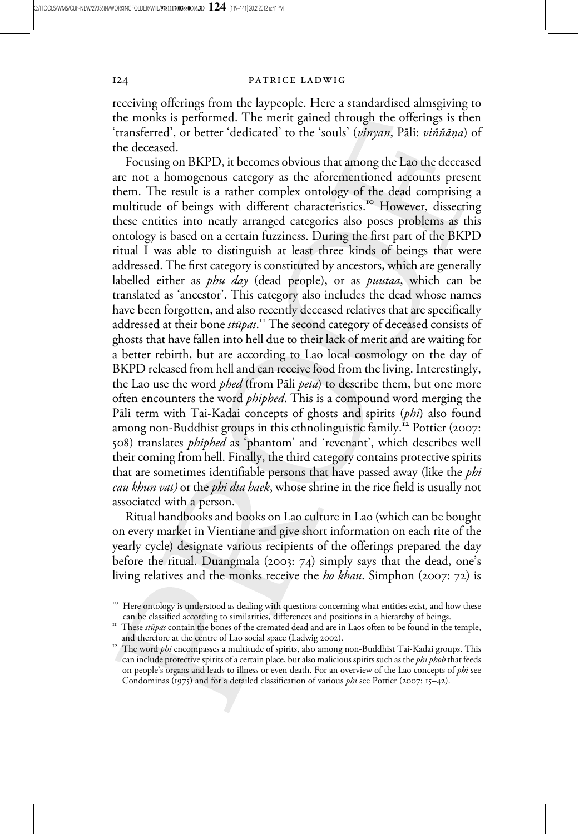receiving offerings from the laypeople. Here a standardised almsgiving to the monks is performed. The merit gained through the offerings is then 'transferred', or better 'dedicated' to the 'souls' (*vinyan*, Pāli: *viññāṇa*) of<br>the deceased the deceased.

Focusing on BKPD, it becomes obvious that among the Lao the deceased are not a homogenous category as the aforementioned accounts present them. The result is a rather complex ontology of the dead comprising a multitude of beings with different characteristics.<sup>10</sup> However, dissecting these entities into neatly arranged categories also poses problems as this ontology is based on a certain fuzziness. During the first part of the BKPD ritual I was able to distinguish at least three kinds of beings that were addressed. The first category is constituted by ancestors, which are generally labelled either as *phu day* (dead people), or as *puutaa*, which can be translated as 'ancestor'. This category also includes the dead whose names have been forgotten, and also recently deceased relatives that are specifically addressed at their bone stupas.<sup>11</sup> The second category of deceased consists of ghosts that have fallen into hell due to their lack of merit and are waiting for a better rebirth, but are according to Lao local cosmology on the day of BKPD released from hell and can receive food from the living. Interestingly, the Lao use the word *phed* (from Pāli *peta*) to describe them, but one more often encounters the word *phiphed*. This is a compound word merging the Pāli term with Tai-Kadai concepts of ghosts and spirits (phi) also found among non-Buddhist groups in this ethnolinguistic family.<sup>12</sup> Pottier (2007: 508) translates phiphed as 'phantom' and 'revenant', which describes well their coming from hell. Finally, the third category contains protective spirits that are sometimes identifiable persons that have passed away (like the *phi* cau khun vat) or the phi dta haek, whose shrine in the rice field is usually not associated with a person.

Ritual handbooks and books on Lao culture in Lao (which can be bought on every market in Vientiane and give short information on each rite of the yearly cycle) designate various recipients of the offerings prepared the day before the ritual. Duangmala (2003: 74) simply says that the dead, one's living relatives and the monks receive the *ho khau*. Simphon (2007: 72) is

<sup>&</sup>lt;sup>10</sup> Here ontology is understood as dealing with questions concerning what entities exist, and how these

can be classified according to similarities, differences and positions in a hierarchy of beings.<br><sup>11</sup> These *stūpas* contain the bones of the cremated dead and are in Laos often to be found in the temple, and therefore at

<sup>&</sup>lt;sup>12</sup> The word *phi* encompasses a multitude of spirits, also among non-Buddhist Tai-Kadai groups. This can include protective spirits of a certain place, but also malicious spirits such as the phi phob that feeds on people's organs and leads to illness or even death. For an overview of the Lao concepts of phi see Condominas (1975) and for a detailed classification of various phi see Pottier (2007: 15–42).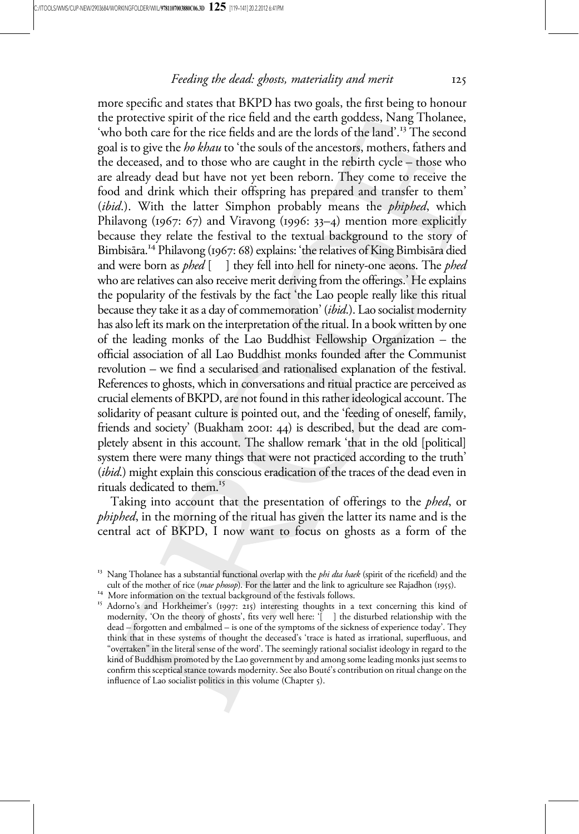more specific and states that BKPD has two goals, the first being to honour the protective spirit of the rice field and the earth goddess, Nang Tholanee, 'who both care for the rice fields and are the lords of the land'.<sup>13</sup> The second goal is to give the ho khau to 'the souls of the ancestors, mothers, fathers and the deceased, and to those who are caught in the rebirth cycle – those who are already dead but have not yet been reborn. They come to receive the food and drink which their offspring has prepared and transfer to them' (ibid.). With the latter Simphon probably means the *phiphed*, which Philavong (1967: 67) and Viravong (1996: 33–4) mention more explicitly because they relate the festival to the textual background to the story of Bimbisāra.<sup>14</sup> Philavong (1967: 68) explains: 'the relatives of King Bimbisāra died and were born as *phed*  $\lceil \cdot \rceil$  they fell into hell for ninety-one aeons. The *phed* who are relatives can also receive merit deriving from the offerings.' He explains the popularity of the festivals by the fact 'the Lao people really like this ritual because they take it as a day of commemoration' (ibid.). Lao socialist modernity has also left its mark on the interpretation of the ritual. In a book written by one of the leading monks of the Lao Buddhist Fellowship Organization – the official association of all Lao Buddhist monks founded after the Communist revolution – we find a secularised and rationalised explanation of the festival. References to ghosts, which in conversations and ritual practice are perceived as crucial elements of BKPD, are not found in this rather ideological account. The solidarity of peasant culture is pointed out, and the 'feeding of oneself, family, friends and society' (Buakham 2001: 44) is described, but the dead are completely absent in this account. The shallow remark 'that in the old [political] system there were many things that were not practiced according to the truth' (*ibid*.) might explain this conscious eradication of the traces of the dead even in rituals dedicated to them.<sup>15</sup>

Taking into account that the presentation of offerings to the phed, or phiphed, in the morning of the ritual has given the latter its name and is the central act of BKPD, I now want to focus on ghosts as a form of the

<sup>&</sup>lt;sup>13</sup> Nang Tholanee has a substantial functional overlap with the *phi dta haek* (spirit of the ricefield) and the cult of the mother of rice (*mae phosop*). For the latter and the link to agriculture see Rajadhon (1955).

<sup>&</sup>lt;sup>14</sup> More information on the textual background of the festivals follows.<br><sup>15</sup> Adorno's and Horkheimer's (1997: 215) interesting thoughts in a text concerning this kind of modernity, 'On the theory of ghosts', fits very well here: '[...] the disturbed relationship with the dead – forgotten and embalmed – is one of the symptoms of the sickness of experience today'. They think that in these systems of thought the deceased's 'trace is hated as irrational, superfluous, and "overtaken" in the literal sense of the word'. The seemingly rational socialist ideology in regard to the kind of Buddhism promoted by the Lao government by and among some leading monks just seems to confirm this sceptical stance towards modernity. See also Bouté's contribution on ritual change on the influence of Lao socialist politics in this volume (Chapter 5).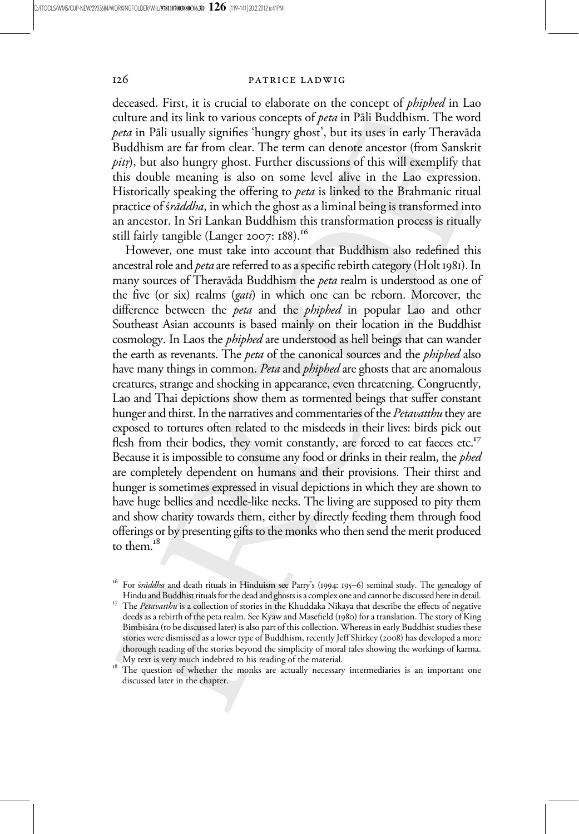#### 126 patrice ladwig

deceased. First, it is crucial to elaborate on the concept of *phiphed* in Lao culture and its link to various concepts of peta in Pāli Buddhism. The word peta in Pāli usually signifies 'hungry ghost', but its uses in early Theravāda Buddhism are far from clear. The term can denote ancestor (from Sanskrit  $pity$ , but also hungry ghost. Further discussions of this will exemplify that this double meaning is also on some level alive in the Lao expression. Historically speaking the offering to peta is linked to the Brahmanic ritual practice of śrāddha, in which the ghost as a liminal being is transformed into an ancestor. In Sri Lankan Buddhism this transformation process is ritually still fairly tangible (Langer 2007: 188).<sup>16</sup>

However, one must take into account that Buddhism also redefined this ancestral role and *peta* are referred to as a specific rebirth category (Holt 1981). In many sources of Theravāda Buddhism the peta realm is understood as one of the five (or six) realms (gati) in which one can be reborn. Moreover, the difference between the *peta* and the *phiphed* in popular Lao and other Southeast Asian accounts is based mainly on their location in the Buddhist cosmology. In Laos the phiphed are understood as hell beings that can wander the earth as revenants. The *peta* of the canonical sources and the *phiphed* also have many things in common. Peta and *phiphed* are ghosts that are anomalous creatures, strange and shocking in appearance, even threatening. Congruently, Lao and Thai depictions show them as tormented beings that suffer constant hunger and thirst. In the narratives and commentaries of the Petavatthu they are exposed to tortures often related to the misdeeds in their lives: birds pick out flesh from their bodies, they vomit constantly, are forced to eat faeces etc.<sup>17</sup> Because it is impossible to consume any food or drinks in their realm, the *phed* are completely dependent on humans and their provisions. Their thirst and hunger is sometimes expressed in visual depictions in which they are shown to have huge bellies and needle-like necks. The living are supposed to pity them and show charity towards them, either by directly feeding them through food offerings or by presenting gifts to the monks who then send the merit produced to them.<sup>18</sup>

<sup>&</sup>lt;sup>16</sup> For *śrāddha* and death rituals in Hinduism see Parry's (1994: 195–6) seminal study. The genealogy of Hindu and Buddhist rituals for the dead and ghosts is a complex one and cannot be discussed here in detail.

<sup>&</sup>lt;sup>17</sup> The Petavatthu is a collection of stories in the Khuddaka Nikaya that describe the effects of negative deeds as a rebirth of the peta realm. See Kyaw and Masefield (1980) for a translation. The story of King Bimbisāra (to be discussed later) is also part of this collection. Whereas in early Buddhist studies these stories were dismissed as a lower type of Buddhism, recently Jeff Shirkey (2008) has developed a more thorough reading of the stories beyond the simplicity of moral tales showing the workings of karma. My text is very much indebted to his reading of the material.<br><sup>18</sup> The question of whether the monks are actually necessary intermediaries is an important one

discussed later in the chapter.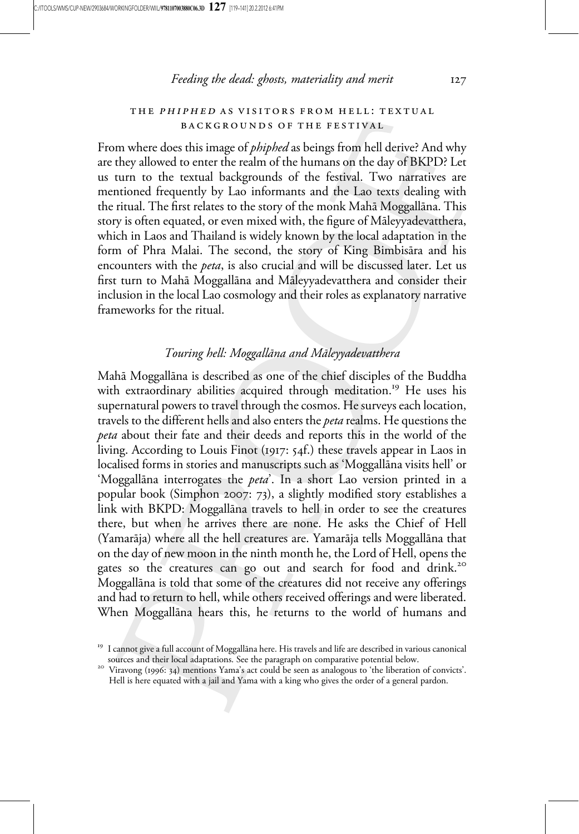# the phiphed as visitors from hell: textual backgrounds of the festival

From where does this image of *phiphed* as beings from hell derive? And why are they allowed to enter the realm of the humans on the day of BKPD? Let us turn to the textual backgrounds of the festival. Two narratives are mentioned frequently by Lao informants and the Lao texts dealing with the ritual. The first relates to the story of the monk Mahā Moggallāna. This story is often equated, or even mixed with, the figure of Māleyyadevatthera, which in Laos and Thailand is widely known by the local adaptation in the form of Phra Malai. The second, the story of King Bimbisāra and his encounters with the *peta*, is also crucial and will be discussed later. Let us first turn to Mahā Moggallāna and Māleyyadevatthera and consider their inclusion in the local Lao cosmology and their roles as explanatory narrative frameworks for the ritual.

# Touring hell: Moggallāna and Māleyyadevatthera

Mahā Moggallāna is described as one of the chief disciples of the Buddha with extraordinary abilities acquired through meditation.<sup>19</sup> He uses his supernatural powers to travel through the cosmos. He surveys each location, travels to the different hells and also enters the *peta* realms. He questions the peta about their fate and their deeds and reports this in the world of the living. According to Louis Finot (1917: 54f.) these travels appear in Laos in localised forms in stories and manuscripts such as 'Moggallāna visits hell' or 'Moggallāna interrogates the peta'. In a short Lao version printed in a popular book (Simphon 2007: 73), a slightly modified story establishes a link with BKPD: Moggallāna travels to hell in order to see the creatures there, but when he arrives there are none. He asks the Chief of Hell (Yamarāja) where all the hell creatures are. Yamarāja tells Moggallāna that on the day of new moon in the ninth month he, the Lord of Hell, opens the gates so the creatures can go out and search for food and drink.<sup>20</sup> Moggallāna is told that some of the creatures did not receive any offerings and had to return to hell, while others received offerings and were liberated. When Moggallāna hears this, he returns to the world of humans and

<sup>&</sup>lt;sup>19</sup> I cannot give a full account of Moggallāna here. His travels and life are described in various canonical sources and their local adaptations. See the paragraph on comparative potential below.

<sup>&</sup>lt;sup>20</sup> Viravong (1996: 34) mentions Yama's act could be seen as analogous to 'the liberation of convicts'. Hell is here equated with a jail and Yama with a king who gives the order of a general pardon.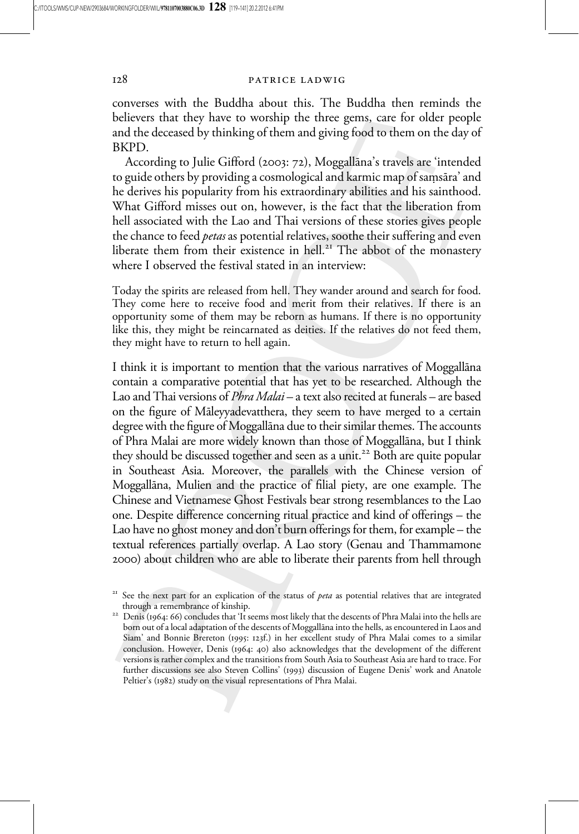#### 128 patrice ladwig

converses with the Buddha about this. The Buddha then reminds the believers that they have to worship the three gems, care for older people and the deceased by thinking of them and giving food to them on the day of BKPD.

According to Julie Gifford (2003: 72), Moggallāna's travels are 'intended to guide others by providing a cosmological and karmic map of saṃsāra' and<br>he derives his popularity from his extraordinary abilities and his saintbood he derives his popularity from his extraordinary abilities and his sainthood. What Gifford misses out on, however, is the fact that the liberation from hell associated with the Lao and Thai versions of these stories gives people the chance to feed *petas* as potential relatives, soothe their suffering and even liberate them from their existence in hell.<sup>21</sup> The abbot of the monastery where I observed the festival stated in an interview:

Today the spirits are released from hell. They wander around and search for food. They come here to receive food and merit from their relatives. If there is an opportunity some of them may be reborn as humans. If there is no opportunity like this, they might be reincarnated as deities. If the relatives do not feed them, they might have to return to hell again.

I think it is important to mention that the various narratives of Moggallāna contain a comparative potential that has yet to be researched. Although the Lao and Thai versions of *Phra Malai* – a text also recited at funerals – are based on the figure of Māleyyadevatthera, they seem to have merged to a certain degree with the figure of Moggallāna due to their similar themes. The accounts of Phra Malai are more widely known than those of Moggallāna, but I think they should be discussed together and seen as a unit.<sup>22</sup> Both are quite popular in Southeast Asia. Moreover, the parallels with the Chinese version of Moggallāna, Mulien and the practice of filial piety, are one example. The Chinese and Vietnamese Ghost Festivals bear strong resemblances to the Lao one. Despite difference concerning ritual practice and kind of offerings – the Lao have no ghost money and don't burn offerings for them, for example – the textual references partially overlap. A Lao story (Genau and Thammamone 2000) about children who are able to liberate their parents from hell through

<sup>&</sup>lt;sup>21</sup> See the next part for an explication of the status of *peta* as potential relatives that are integrated through a remembrance of kinship.

<sup>&</sup>lt;sup>22</sup> Denis (1964: 66) concludes that 'It seems most likely that the descents of Phra Malai into the hells are born out of a local adaptation of the descents of Moggallāna into the hells, as encountered in Laos and Siam' and Bonnie Brereton (1995: 123f.) in her excellent study of Phra Malai comes to a similar conclusion. However, Denis (1964: 40) also acknowledges that the development of the different versions is rather complex and the transitions from South Asia to Southeast Asia are hard to trace. For further discussions see also Steven Collins' (1993) discussion of Eugene Denis' work and Anatole Peltier's (1982) study on the visual representations of Phra Malai.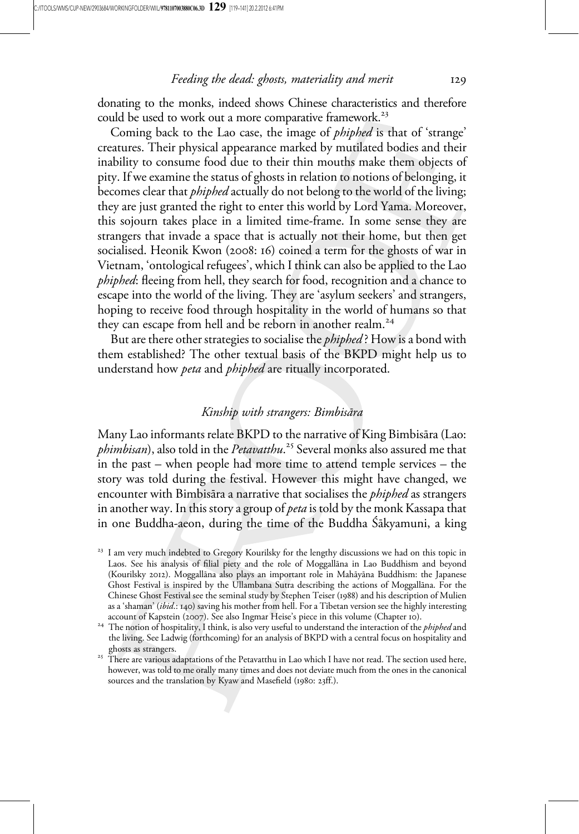donating to the monks, indeed shows Chinese characteristics and therefore could be used to work out a more comparative framework.<sup>23</sup>

Coming back to the Lao case, the image of phiphed is that of 'strange' creatures. Their physical appearance marked by mutilated bodies and their inability to consume food due to their thin mouths make them objects of pity. If we examine the status of ghosts in relation to notions of belonging, it becomes clear that *phiphed* actually do not belong to the world of the living; they are just granted the right to enter this world by Lord Yama. Moreover, this sojourn takes place in a limited time-frame. In some sense they are strangers that invade a space that is actually not their home, but then get socialised. Heonik Kwon (2008: 16) coined a term for the ghosts of war in Vietnam, 'ontological refugees', which I think can also be applied to the Lao phiphed: fleeing from hell, they search for food, recognition and a chance to escape into the world of the living. They are 'asylum seekers' and strangers, hoping to receive food through hospitality in the world of humans so that they can escape from hell and be reborn in another realm.<sup>24</sup>

But are there other strategies to socialise the *phiphed*? How is a bond with them established? The other textual basis of the BKPD might help us to understand how *peta* and *phiphed* are ritually incorporated.

# Kinship with strangers: Bimbisāra

Many Lao informants relate BKPD to the narrative of King Bimbisāra (Lao: phimbisan), also told in the Petavatthu.<sup>25</sup> Several monks also assured me that in the past – when people had more time to attend temple services – the story was told during the festival. However this might have changed, we encounter with Bimbisāra a narrative that socialises the phiphed as strangers in another way. In this story a group of *peta* is told by the monk Kassapa that in one Buddha-aeon, during the time of the Buddha Śākyamuni, a king

<sup>&</sup>lt;sup>23</sup> I am very much indebted to Gregory Kourilsky for the lengthy discussions we had on this topic in Laos. See his analysis of filial piety and the role of Moggallāna in Lao Buddhism and beyond (Kourilsky 2012). Moggallāna also plays an important role in Mahāyāna Buddhism: the Japanese Ghost Festival is inspired by the Ullambana Sutra describing the actions of Moggallāna. For the Chinese Ghost Festival see the seminal study by Stephen Teiser (1988) and his description of Mulien as a 'shaman' (ibid.: 140) saving his mother from hell. For a Tibetan version see the highly interesting

account of Kapstein (2007). See also Ingmar Heise's piece in this volume (Chapter 10).  $^{24}$  The notion of hospitality, I think, is also very useful to understand the interaction of the *phiphed* and the living. See Ladwig (forthcoming) for an analysis of BKPD with a central focus on hospitality and

ghosts as strangers.  $^{25}$  There are various adaptations of the Petavatthu in Lao which I have not read. The section used here, however, was told to me orally many times and does not deviate much from the ones in the canonical sources and the translation by Kyaw and Masefield (1980: 23ff.).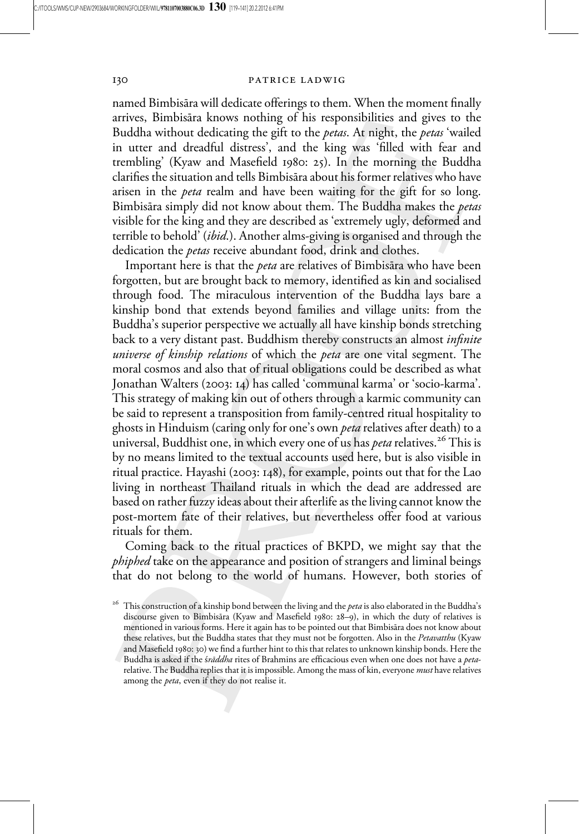named Bimbisāra will dedicate offerings to them. When the moment finally arrives, Bimbisāra knows nothing of his responsibilities and gives to the Buddha without dedicating the gift to the petas. At night, the petas 'wailed in utter and dreadful distress', and the king was 'filled with fear and trembling' (Kyaw and Masefield 1980: 25). In the morning the Buddha clarifies the situation and tells Bimbisāra about his former relatives who have arisen in the *peta* realm and have been waiting for the gift for so long. Bimbisāra simply did not know about them. The Buddha makes the petas visible for the king and they are described as 'extremely ugly, deformed and terrible to behold' (ibid.). Another alms-giving is organised and through the dedication the *petas* receive abundant food, drink and clothes.

Important here is that the peta are relatives of Bimbisāra who have been forgotten, but are brought back to memory, identified as kin and socialised through food. The miraculous intervention of the Buddha lays bare a kinship bond that extends beyond families and village units: from the Buddha's superior perspective we actually all have kinship bonds stretching back to a very distant past. Buddhism thereby constructs an almost infinite universe of kinship relations of which the *peta* are one vital segment. The moral cosmos and also that of ritual obligations could be described as what Jonathan Walters (2003: 14) has called 'communal karma' or 'socio-karma'. This strategy of making kin out of others through a karmic community can be said to represent a transposition from family-centred ritual hospitality to ghosts in Hinduism (caring only for one's own peta relatives after death) to a universal, Buddhist one, in which every one of us has *peta* relatives.<sup>26</sup> This is by no means limited to the textual accounts used here, but is also visible in ritual practice. Hayashi (2003: 148), for example, points out that for the Lao living in northeast Thailand rituals in which the dead are addressed are based on rather fuzzy ideas about their afterlife as the living cannot know the post-mortem fate of their relatives, but nevertheless offer food at various rituals for them.

Coming back to the ritual practices of BKPD, we might say that the *phiphed* take on the appearance and position of strangers and liminal beings that do not belong to the world of humans. However, both stories of

<sup>&</sup>lt;sup>26</sup> This construction of a kinship bond between the living and the *peta* is also elaborated in the Buddha's discourse given to Bimbisāra (Kyaw and Masefield 1980: 28–9), in which the duty of relatives is mentioned in various forms. Here it again has to be pointed out that Bimbisāra does not know about these relatives, but the Buddha states that they must not be forgotten. Also in the Petavatthu (Kyaw and Masefield 1980: 30) we find a further hint to this that relates to unknown kinship bonds. Here the Buddha is asked if the *śrāddha* rites of Brahmins are efficacious even when one does not have a *peta*relative. The Buddha replies that it is impossible. Among the mass of kin, everyone *must* have relatives among the peta, even if they do not realise it.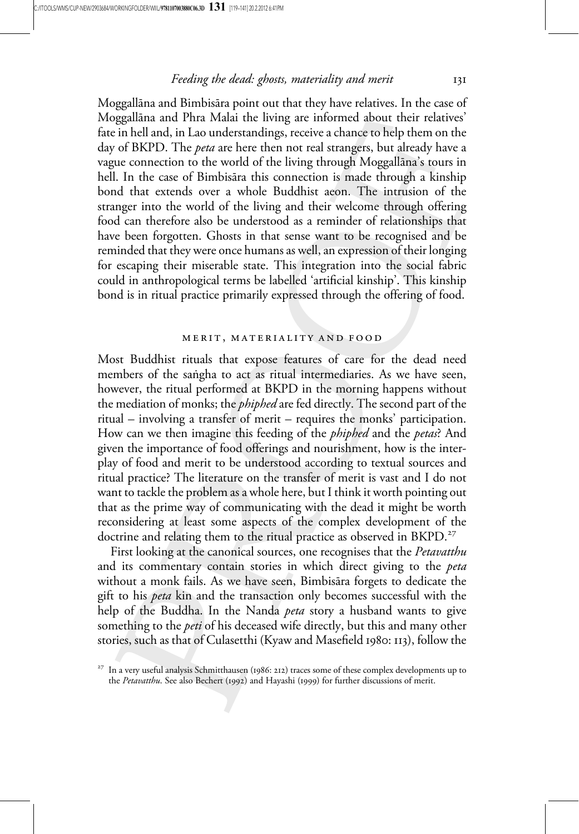Moggallāna and Bimbisāra point out that they have relatives. In the case of Moggallāna and Phra Malai the living are informed about their relatives' fate in hell and, in Lao understandings, receive a chance to help them on the day of BKPD. The *peta* are here then not real strangers, but already have a vague connection to the world of the living through Moggallāna's tours in hell. In the case of Bimbisāra this connection is made through a kinship bond that extends over a whole Buddhist aeon. The intrusion of the stranger into the world of the living and their welcome through offering food can therefore also be understood as a reminder of relationships that have been forgotten. Ghosts in that sense want to be recognised and be reminded that they were once humans as well, an expression of their longing for escaping their miserable state. This integration into the social fabric could in anthropological terms be labelled 'artificial kinship'. This kinship bond is in ritual practice primarily expressed through the offering of food.

#### merit, materiality and food

Most Buddhist rituals that expose features of care for the dead need members of the sangha to act as ritual intermediaries. As we have seen, however, the ritual performed at BKPD in the morning happens without the mediation of monks; the *phiphed* are fed directly. The second part of the ritual – involving a transfer of merit – requires the monks' participation. How can we then imagine this feeding of the *phiphed* and the *petas*? And given the importance of food offerings and nourishment, how is the interplay of food and merit to be understood according to textual sources and ritual practice? The literature on the transfer of merit is vast and I do not want to tackle the problem as a whole here, but I think it worth pointing out that as the prime way of communicating with the dead it might be worth reconsidering at least some aspects of the complex development of the doctrine and relating them to the ritual practice as observed in BKPD.<sup>27</sup>

First looking at the canonical sources, one recognises that the *Petavatthu* and its commentary contain stories in which direct giving to the peta without a monk fails. As we have seen, Bimbisāra forgets to dedicate the gift to his peta kin and the transaction only becomes successful with the help of the Buddha. In the Nanda *peta* story a husband wants to give something to the *peti* of his deceased wife directly, but this and many other stories, such as that of Culasetthi (Kyaw and Masefield 1980: 113), follow the

<sup>&</sup>lt;sup>27</sup> In a very useful analysis Schmitthausen (1986: 212) traces some of these complex developments up to the Petavatthu. See also Bechert (1992) and Hayashi (1999) for further discussions of merit.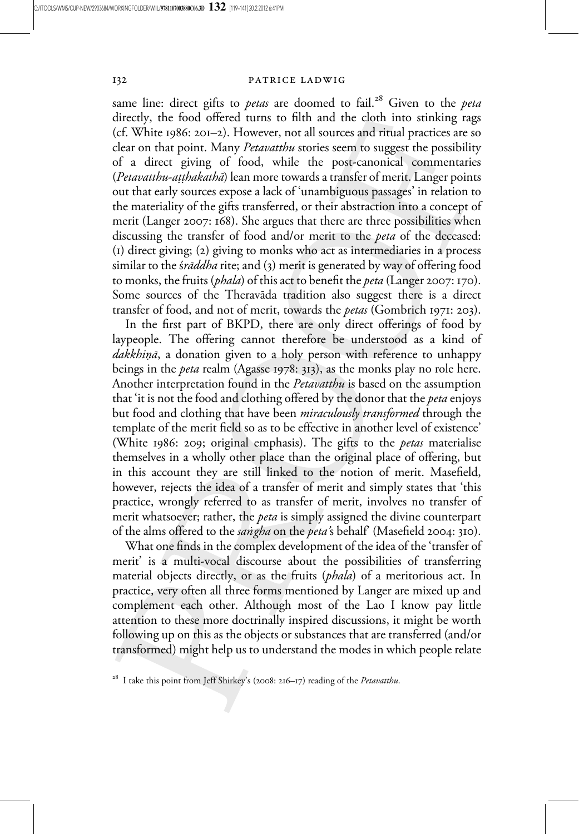same line: direct gifts to *petas* are doomed to fail.<sup>28</sup> Given to the *peta* directly, the food offered turns to filth and the cloth into stinking rags (cf. White 1986: 201–2). However, not all sources and ritual practices are so clear on that point. Many *Petavatthu* stories seem to suggest the possibility of a direct giving of food, while the post-canonical commentaries (Petavatthu-atthakathā) lean more towards a transfer of merit. Langer points out that early sources expose a lack of 'unambiguous passages' in relation to the materiality of the gifts transferred, or their abstraction into a concept of merit (Langer 2007: 168). She argues that there are three possibilities when discussing the transfer of food and/or merit to the *peta* of the deceased: (1) direct giving; (2) giving to monks who act as intermediaries in a process similar to the *śrāddha* rite; and  $(3)$  merit is generated by way of offering food to monks, the fruits (*phala*) of this act to benefit the *peta* (Langer 2007: 170). Some sources of the Theravāda tradition also suggest there is a direct transfer of food, and not of merit, towards the petas (Gombrich 1971: 203).

In the first part of BKPD, there are only direct offerings of food by laypeople. The offering cannot therefore be understood as a kind of dakkhinā, a donation given to a holy person with reference to unhappy<br>beings in the *peta* realm (Agasse 1978; 212), as the monks play no role here beings in the peta realm (Agasse 1978: 313), as the monks play no role here. Another interpretation found in the *Petavatthu* is based on the assumption that 'it is not the food and clothing offered by the donor that the *peta* enjoys but food and clothing that have been *miraculously transformed* through the template of the merit field so as to be effective in another level of existence' (White 1986: 209; original emphasis). The gifts to the *petas* materialise themselves in a wholly other place than the original place of offering, but in this account they are still linked to the notion of merit. Masefield, however, rejects the idea of a transfer of merit and simply states that 'this practice, wrongly referred to as transfer of merit, involves no transfer of merit whatsoever; rather, the *peta* is simply assigned the divine counterpart of the alms offered to the *sangha* on the *peta's* behalf' (Masefield 2004: 310).

What one finds in the complex development of the idea of the'transfer of merit' is a multi-vocal discourse about the possibilities of transferring material objects directly, or as the fruits (*phala*) of a meritorious act. In practice, very often all three forms mentioned by Langer are mixed up and complement each other. Although most of the Lao I know pay little attention to these more doctrinally inspired discussions, it might be worth following up on this as the objects or substances that are transferred (and/or transformed) might help us to understand the modes in which people relate

 $28$  I take this point from Jeff Shirkey's (2008: 216–17) reading of the Petavatthu.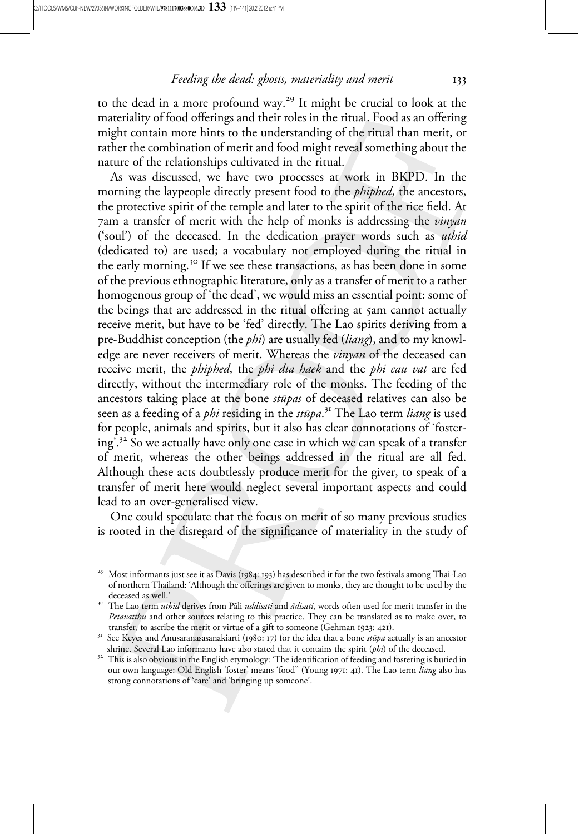to the dead in a more profound way.<sup>29</sup> It might be crucial to look at the materiality of food offerings and their roles in the ritual. Food as an offering might contain more hints to the understanding of the ritual than merit, or rather the combination of merit and food might reveal something about the nature of the relationships cultivated in the ritual.

As was discussed, we have two processes at work in BKPD. In the morning the laypeople directly present food to the *phiphed*, the ancestors, the protective spirit of the temple and later to the spirit of the rice field. At 7am a transfer of merit with the help of monks is addressing the vinyan ('soul') of the deceased. In the dedication prayer words such as uthid (dedicated to) are used; a vocabulary not employed during the ritual in the early morning.<sup>30</sup> If we see these transactions, as has been done in some of the previous ethnographic literature, only as a transfer of merit to a rather homogenous group of 'the dead', we would miss an essential point: some of the beings that are addressed in the ritual offering at 5am cannot actually receive merit, but have to be 'fed' directly. The Lao spirits deriving from a pre-Buddhist conception (the *phi*) are usually fed (*liang*), and to my knowledge are never receivers of merit. Whereas the *vinyan* of the deceased can receive merit, the *phiphed*, the *phi dta haek* and the *phi cau vat* are fed directly, without the intermediary role of the monks. The feeding of the ancestors taking place at the bone stūpas of deceased relatives can also be seen as a feeding of a *phi* residing in the *stūpa*.<sup>31</sup> The Lao term *liang* is used for people, animals and spirits, but it also has clear connotations of 'fostering'. <sup>32</sup> So we actually have only one case in which we can speak of a transfer of merit, whereas the other beings addressed in the ritual are all fed. Although these acts doubtlessly produce merit for the giver, to speak of a transfer of merit here would neglect several important aspects and could lead to an over-generalised view.

One could speculate that the focus on merit of so many previous studies is rooted in the disregard of the significance of materiality in the study of

<sup>&</sup>lt;sup>29</sup> Most informants just see it as Davis (1984: 193) has described it for the two festivals among Thai-Lao of northern Thailand: 'Although the offerings are given to monks, they are thought to be used by the

<sup>&</sup>lt;sup>30</sup> The Lao term uthid derives from Pāli uddisati and ādisati, words often used for merit transfer in the Petavatthu and other sources relating to this practice. They can be translated as to make over, to

transfer, to ascribe the merit or virtue of a gift to someone (Gehman 1923: 421).<br><sup>31</sup> See Keyes and Anusaranasasanakiarti (1980: 17) for the idea that a bone *stūpa* actually is an ancestor shrine. Several Lao informants

 $32$  This is also obvious in the English etymology: 'The identification of feeding and fostering is buried in our own language: Old English 'foster' means 'food" (Young 1971: 41). The Lao term *liang* also has strong connotations of 'care' and 'bringing up someone'.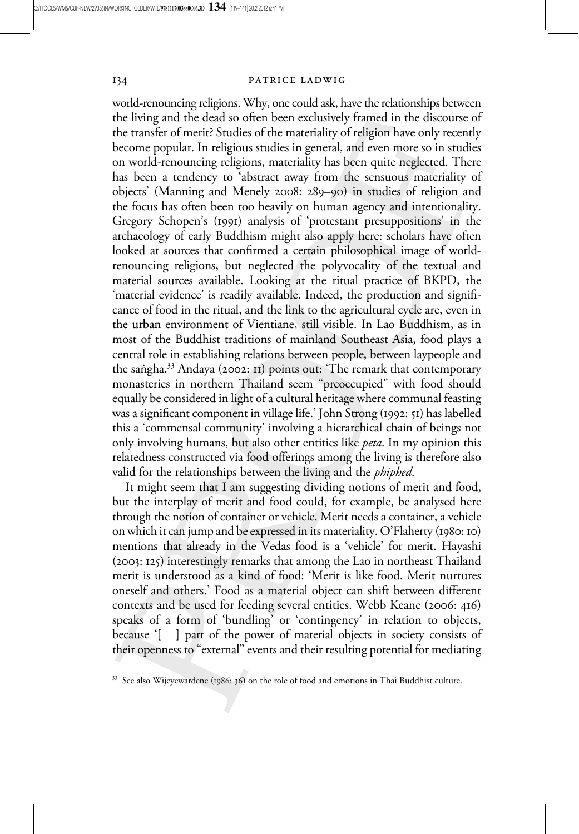world-renouncing religions. Why, one could ask, have the relationships between the living and the dead so often been exclusively framed in the discourse of the transfer of merit? Studies of the materiality of religion have only recently become popular. In religious studies in general, and even more so in studies on world-renouncing religions, materiality has been quite neglected. There has been a tendency to 'abstract away from the sensuous materiality of objects' (Manning and Menely 2008: 289–90) in studies of religion and the focus has often been too heavily on human agency and intentionality. Gregory Schopen's (1991) analysis of 'protestant presuppositions' in the archaeology of early Buddhism might also apply here: scholars have often looked at sources that confirmed a certain philosophical image of worldrenouncing religions, but neglected the polyvocality of the textual and material sources available. Looking at the ritual practice of BKPD, the 'material evidence' is readily available. Indeed, the production and significance of food in the ritual, and the link to the agricultural cycle are, even in the urban environment of Vientiane, still visible. In Lao Buddhism, as in most of the Buddhist traditions of mainland Southeast Asia, food plays a central role in establishing relations between people, between laypeople and the sangha.<sup>33</sup> Andaya (2002: 11) points out: 'The remark that contemporary monasteries in northern Thailand seem "preoccupied" with food should equally be considered in light of a cultural heritage where communal feasting was a significant component in village life.' John Strong (1992: 51) has labelled this a 'commensal community' involving a hierarchical chain of beings not only involving humans, but also other entities like *peta*. In my opinion this relatedness constructed via food offerings among the living is therefore also valid for the relationships between the living and the *phiphed*.

It might seem that I am suggesting dividing notions of merit and food, but the interplay of merit and food could, for example, be analysed here through the notion of container or vehicle. Merit needs a container, a vehicle on which it can jump and be expressed in its materiality. O'Flaherty (1980: 10) mentions that already in the Vedas food is a 'vehicle' for merit. Hayashi (2003: 125) interestingly remarks that among the Lao in northeast Thailand merit is understood as a kind of food: 'Merit is like food. Merit nurtures oneself and others.' Food as a material object can shift between different contexts and be used for feeding several entities. Webb Keane (2006: 416) speaks of a form of 'bundling' or 'contingency' in relation to objects, because '[...] part of the power of material objects in society consists of their openness to "external" events and their resulting potential for mediating

<sup>&</sup>lt;sup>33</sup> See also Wijeyewardene (1986: 36) on the role of food and emotions in Thai Buddhist culture.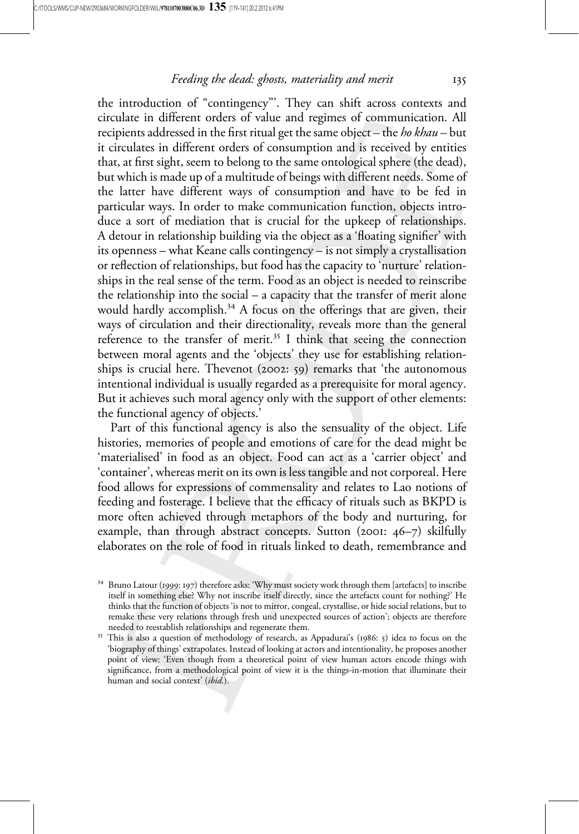the introduction of "contingency"'. They can shift across contexts and circulate in different orders of value and regimes of communication. All recipients addressed in the first ritual get the same object – the ho khau – but it circulates in different orders of consumption and is received by entities that, at first sight, seem to belong to the same ontological sphere (the dead), but which is made up of a multitude of beings with different needs. Some of the latter have different ways of consumption and have to be fed in particular ways. In order to make communication function, objects introduce a sort of mediation that is crucial for the upkeep of relationships. A detour in relationship building via the object as a 'floating signifier' with its openness – what Keane calls contingency – is not simply a crystallisation or reflection of relationships, but food has the capacity to 'nurture' relationships in the real sense of the term. Food as an object is needed to reinscribe the relationship into the social – a capacity that the transfer of merit alone would hardly accomplish.<sup>34</sup> A focus on the offerings that are given, their ways of circulation and their directionality, reveals more than the general reference to the transfer of merit.<sup>35</sup> I think that seeing the connection between moral agents and the 'objects' they use for establishing relationships is crucial here. Thevenot (2002: 59) remarks that 'the autonomous intentional individual is usually regarded as a prerequisite for moral agency. But it achieves such moral agency only with the support of other elements: the functional agency of objects.'

Part of this functional agency is also the sensuality of the object. Life histories, memories of people and emotions of care for the dead might be 'materialised' in food as an object. Food can act as a 'carrier object' and 'container', whereas merit on its own is less tangible and not corporeal. Here food allows for expressions of commensality and relates to Lao notions of feeding and fosterage. I believe that the efficacy of rituals such as BKPD is more often achieved through metaphors of the body and nurturing, for example, than through abstract concepts. Sutton (2001: 46–7) skilfully elaborates on the role of food in rituals linked to death, remembrance and

<sup>34</sup> Bruno Latour (1999: 197) therefore asks: 'Why must society work through them [artefacts] to inscribe itself in something else? Why not inscribe itself directly, since the artefacts count for nothing?' He thinks that the function of objects 'is not to mirror, congeal, crystallise, or hide social relations, but to remake these very relations through fresh und unexpected sources of action'; objects are therefore needed to reestablish relationships and regenerate them. <sup>35</sup> This is also a question of methodology of research, as Appadurai's (1986: <sup>5</sup>) idea to focus on the

<sup>&#</sup>x27;biography of things' extrapolates. Instead of looking at actors and intentionality, he proposes another point of view: 'Even though from a theoretical point of view human actors encode things with significance, from a methodological point of view it is the things-in-motion that illuminate their human and social context' (ibid.).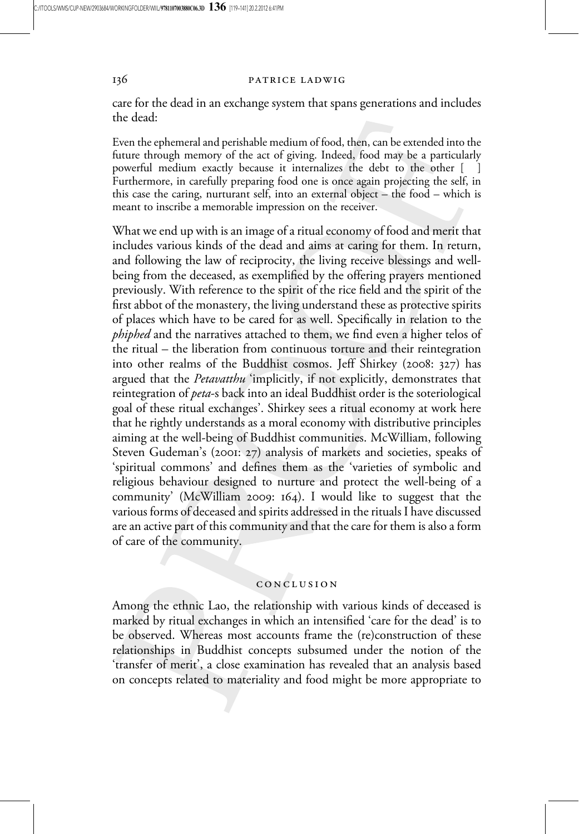care for the dead in an exchange system that spans generations and includes the dead:

Even the ephemeral and perishable medium of food, then, can be extended into the future through memory of the act of giving. Indeed, food may be a particularly powerful medium exactly because it internalizes the debt to the other [ Furthermore, in carefully preparing food one is once again projecting the self, in this case the caring, nurturant self, into an external object – the food – which is meant to inscribe a memorable impression on the receiver.

What we end up with is an image of a ritual economy of food and merit that includes various kinds of the dead and aims at caring for them. In return, and following the law of reciprocity, the living receive blessings and wellbeing from the deceased, as exemplified by the offering prayers mentioned previously. With reference to the spirit of the rice field and the spirit of the first abbot of the monastery, the living understand these as protective spirits of places which have to be cared for as well. Specifically in relation to the phiphed and the narratives attached to them, we find even a higher telos of the ritual – the liberation from continuous torture and their reintegration into other realms of the Buddhist cosmos. Jeff Shirkey (2008: 327) has argued that the Petavatthu 'implicitly, if not explicitly, demonstrates that reintegration of peta-s back into an ideal Buddhist order is the soteriological goal of these ritual exchanges'. Shirkey sees a ritual economy at work here that he rightly understands as a moral economy with distributive principles aiming at the well-being of Buddhist communities. McWilliam, following Steven Gudeman's (2001: 27) analysis of markets and societies, speaks of 'spiritual commons' and defines them as the 'varieties of symbolic and religious behaviour designed to nurture and protect the well-being of a community' (McWilliam 2009: 164). I would like to suggest that the various forms of deceased and spirits addressed in the rituals I have discussed are an active part of this community and that the care for them is also a form of care of the community.

# conclusion

Among the ethnic Lao, the relationship with various kinds of deceased is marked by ritual exchanges in which an intensified 'care for the dead' is to be observed. Whereas most accounts frame the (re)construction of these relationships in Buddhist concepts subsumed under the notion of the 'transfer of merit', a close examination has revealed that an analysis based on concepts related to materiality and food might be more appropriate to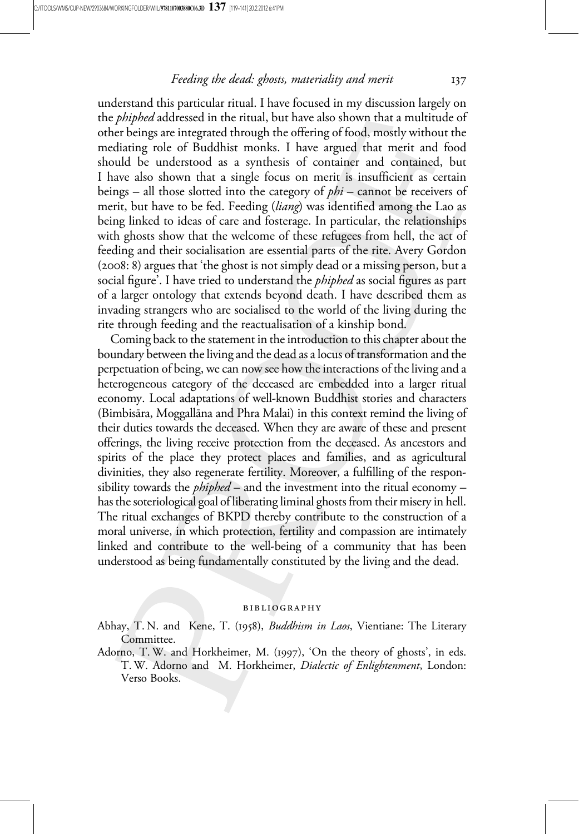understand this particular ritual. I have focused in my discussion largely on the *phiphed* addressed in the ritual, but have also shown that a multitude of other beings are integrated through the offering of food, mostly without the mediating role of Buddhist monks. I have argued that merit and food should be understood as a synthesis of container and contained, but I have also shown that a single focus on merit is insufficient as certain beings – all those slotted into the category of  $phi$  – cannot be receivers of merit, but have to be fed. Feeding (liang) was identified among the Lao as being linked to ideas of care and fosterage. In particular, the relationships with ghosts show that the welcome of these refugees from hell, the act of feeding and their socialisation are essential parts of the rite. Avery Gordon (2008: 8) argues that 'the ghost is not simply dead or a missing person, but a social figure'. I have tried to understand the *phiphed* as social figures as part of a larger ontology that extends beyond death. I have described them as invading strangers who are socialised to the world of the living during the rite through feeding and the reactualisation of a kinship bond.

Coming back to the statement in the introduction to this chapter about the boundary between the living and the dead as a locus of transformation and the perpetuation of being, we can now see how the interactions of the living and a heterogeneous category of the deceased are embedded into a larger ritual economy. Local adaptations of well-known Buddhist stories and characters (Bimbisāra, Moggallāna and Phra Malai) in this context remind the living of their duties towards the deceased. When they are aware of these and present offerings, the living receive protection from the deceased. As ancestors and spirits of the place they protect places and families, and as agricultural divinities, they also regenerate fertility. Moreover, a fulfilling of the responsibility towards the *phiphed* – and the investment into the ritual economy – has the soteriological goal of liberating liminal ghosts from their misery in hell. The ritual exchanges of BKPD thereby contribute to the construction of a moral universe, in which protection, fertility and compassion are intimately linked and contribute to the well-being of a community that has been understood as being fundamentally constituted by the living and the dead.

#### **BIBLIOGRAPHY**

Abhay, T. N. and Kene, T. (1958), *Buddhism in Laos*, Vientiane: The Literary Committee.

Adorno, T. W. and Horkheimer, M. (1997), 'On the theory of ghosts', in eds. T. W. Adorno and M. Horkheimer, Dialectic of Enlightenment, London: Verso Books.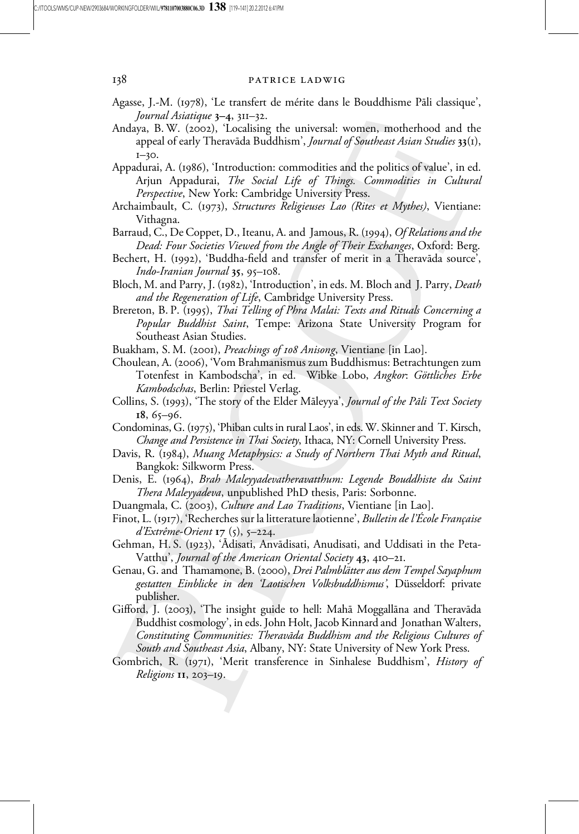- Agasse, J.-M. (1978), 'Le transfert de mérite dans le Bouddhisme Pāli classique', Journal Asiatique 3–4, 311–32.
- Andaya, B. W. (2002), 'Localising the universal: women, motherhood and the appeal of early Theravāda Buddhism', Journal of Southeast Asian Studies 33(1), 1–30.
- Appadurai, A. (1986), 'Introduction: commodities and the politics of value', in ed. Arjun Appadurai, The Social Life of Things. Commodities in Cultural Perspective, New York: Cambridge University Press.
- Archaimbault, C. (1973), Structures Religieuses Lao (Rites et Mythes), Vientiane: Vithagna.
- Barraud, C., De Coppet, D., Iteanu, A. and Jamous, R. (1994), Of Relations and the Dead: Four Societies Viewed from the Angle of Their Exchanges, Oxford: Berg.
- Bechert, H. (1992), 'Buddha-field and transfer of merit in a Theravāda source', Indo-Iranian Journal 35, 95–108.
- Bloch, M. and Parry, J. (1982), 'Introduction', in eds. M. Bloch and J. Parry, Death and the Regeneration of Life, Cambridge University Press.
- Brereton, B. P. (1995), Thai Telling of Phra Malai: Texts and Rituals Concerning a Popular Buddhist Saint, Tempe: Arizona State University Program for Southeast Asian Studies.
- Buakham, S. M. (2001), Preachings of 108 Anisong, Vientiane [in Lao].
- Choulean, A. (2006), 'Vom Brahmanismus zum Buddhismus: Betrachtungen zum Totenfest in Kambodscha', in ed. Wibke Lobo, Angkor: Göttliches Erbe Kambodschas, Berlin: Priestel Verlag.
- Collins, S. (1993), 'The story of the Elder Māleyya', Journal of the Pāli Text Society 18, 65–96.
- Condominas, G. (1975), 'Phiban cults in rural Laos', in eds. W. Skinner and T. Kirsch, Change and Persistence in Thai Society, Ithaca, NY: Cornell University Press.
- Davis, R. (1984), Muang Metaphysics: a Study of Northern Thai Myth and Ritual, Bangkok: Silkworm Press.
- Denis, E. (1964), Brah Maleyyadevatheravatthum: Legende Bouddhiste du Saint Thera Maleyyadeva, unpublished PhD thesis, Paris: Sorbonne.
- Duangmala, C. (2003), Culture and Lao Traditions, Vientiane [in Lao].
- Finot, L. (1917), 'Recherches sur la litterature laotienne', Bulletin de l'École Française  $d'Extr\hat{e}$ me-Orient 17 (5), 5–224.
- Gehman, H. S. (1923), 'Ādisati, Anvādisati, Anudisati, and Uddisati in the Peta-Vatthu', Journal of the American Oriental Society 43, 410–21.
- Genau, G. and Thamamone, B. (2000), Drei Palmblätter aus dem Tempel Sayaphum gestatten Einblicke in den 'Laotischen Volksbuddhismus', Düsseldorf: private publisher.
- Gifford, J. (2003), 'The insight guide to hell: Mahā Moggallāna and Theravāda Buddhist cosmology', in eds. John Holt, Jacob Kinnard and Jonathan Walters, Constituting Communities: Theravāda Buddhism and the Religious Cultures of South and Southeast Asia, Albany, NY: State University of New York Press.
- Gombrich, R. (1971), 'Merit transference in Sinhalese Buddhism', History of Religions 11, 203–19.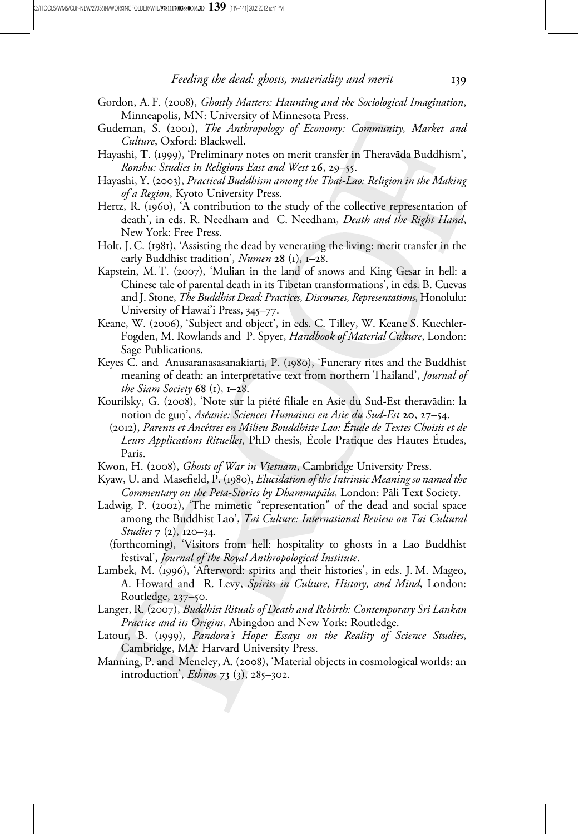- Gordon, A. F. (2008), Ghostly Matters: Haunting and the Sociological Imagination, Minneapolis, MN: University of Minnesota Press.
- Gudeman, S. (2001), The Anthropology of Economy: Community, Market and Culture, Oxford: Blackwell.
- Hayashi, T. (1999), 'Preliminary notes on merit transfer in Theravāda Buddhism', Ronshu: Studies in Religions East and West 26, 29–55.
- Hayashi, Y. (2003), Practical Buddhism among the Thai-Lao: Religion in the Making of a Region, Kyoto University Press.
- Hertz, R. (1960), 'A contribution to the study of the collective representation of death', in eds. R. Needham and C. Needham, *Death and the Right Hand*, New York: Free Press.
- Holt, J. C. (1981), 'Assisting the dead by venerating the living: merit transfer in the early Buddhist tradition', Numen 28 (1), 1-28.
- Kapstein, M. T. (2007), 'Mulian in the land of snows and King Gesar in hell: a Chinese tale of parental death in its Tibetan transformations', in eds. B. Cuevas and J. Stone, The Buddhist Dead: Practices, Discourses, Representations, Honolulu: University of Hawai'i Press, 345–77.
- Keane, W. (2006), 'Subject and object', in eds. C. Tilley, W. Keane S. Kuechler-Fogden, M. Rowlands and P. Spyer, Handbook of Material Culture, London: Sage Publications.
- Keyes C. and Anusaranasasanakiarti, P. (1980), 'Funerary rites and the Buddhist meaning of death: an interpretative text from northern Thailand', Journal of the Siam Society  $68$  (1),  $1-28$ .
- Kourilsky, G. (2008), 'Note sur la piété filiale en Asie du Sud-Est theravādin: la notion de gun', *Aséanie: Sciences Humaines en Asie du Sud-Est* **20**, 27–54.<br>012) *Parents et Ancêtres en Milieu Bouddhiste Lao: Étude de Textes Choisis e*
- (2012), Parents et Ancêtres en Milieu Bouddhiste Lao: Étude de Textes Choisis et de Leurs Applications Rituelles, PhD thesis, École Pratique des Hautes Études, Paris.
- Kwon, H. (2008), Ghosts of War in Vietnam, Cambridge University Press.
- Kyaw, U. and Masefield, P. (1980), Elucidation of the Intrinsic Meaning so named the Commentary on the Peta-Stories by Dhammapāla, London: Pāli Text Society.
- Ladwig, P. (2002), 'The mimetic "representation" of the dead and social space among the Buddhist Lao', Tai Culture: International Review on Tai Cultural Studies 7 (2), 120–34.
	- (forthcoming), 'Visitors from hell: hospitality to ghosts in a Lao Buddhist festival', Journal of the Royal Anthropological Institute.
- Lambek, M. (1996), 'Afterword: spirits and their histories', in eds. J. M. Mageo, A. Howard and R. Levy, Spirits in Culture, History, and Mind, London: Routledge, 237–50.
- Langer, R. (2007), Buddhist Rituals of Death and Rebirth: Contemporary Sri Lankan Practice and its Origins, Abingdon and New York: Routledge.
- Latour, B. (1999), Pandora's Hope: Essays on the Reality of Science Studies, Cambridge, MA: Harvard University Press.
- Manning, P. and Meneley, A. (2008), 'Material objects in cosmological worlds: an introduction', *Ethnos* 73 (3),  $285 - 302$ .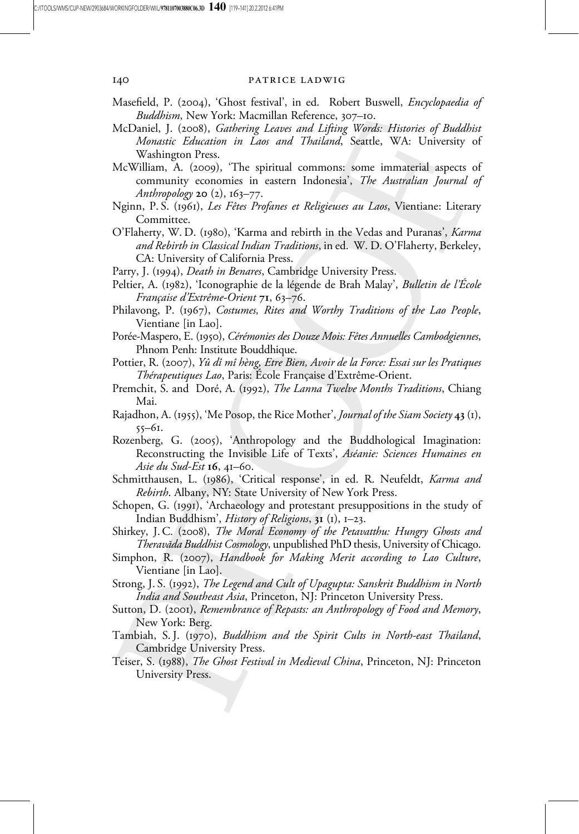- Masefield, P. (2004), 'Ghost festival', in ed. Robert Buswell, Encyclopaedia of Buddhism, New York: Macmillan Reference, 307–10.
- McDaniel, J. (2008), Gathering Leaves and Lifting Words: Histories of Buddhist Monastic Education in Laos and Thailand, Seattle, WA: University of Washington Press.
- McWilliam, A. (2009), 'The spiritual commons: some immaterial aspects of community economies in eastern Indonesia', The Australian Journal of Anthropology 20  $(2)$ , 163–77.
- Nginn, P. S. (1961), Les Fêtes Profanes et Religieuses au Laos, Vientiane: Literary Committee.
- O'Flaherty, W. D. (1980), 'Karma and rebirth in the Vedas and Puranas', Karma and Rebirth in Classical Indian Traditions, in ed. W. D. O'Flaherty, Berkeley, CA: University of California Press.
- Parry, J. (1994), *Death in Benares*, Cambridge University Press.
- Peltier, A. (1982), 'Iconographie de la légende de Brah Malay', *Bulletin de l'École* Française d'Extrême-Orient 71, 63–76.
- Philavong, P. (1967), Costumes, Rites and Worthy Traditions of the Lao People, Vientiane [in Lao].
- Porée-Maspero, E. (1950), Cérémonies des Douze Mois: Fêtes Annuelles Cambodgiennes, Phnom Penh: Institute Bouddhique.
- Pottier, R. (2007), Yû dî mî hèng, Etre Bien, Avoir de la Force: Essai sur les Pratiques Thérapeutiques Lao, Paris: École Française d'Extrême-Orient.
- Premchit, S. and Doré, A. (1992), The Lanna Twelve Months Traditions, Chiang Mai.
- Rajadhon, A. (1955), 'Me Posop, the Rice Mother', Journal of the Siam Society 43(1), 55–61.
- Rozenberg, G. (2005), 'Anthropology and the Buddhological Imagination: Reconstructing the Invisible Life of Texts', Aséanie: Sciences Humaines en Asie du Sud-Est 16, 41–60.
- Schmitthausen, L. (1986), 'Critical response', in ed. R. Neufeldt, Karma and Rebirth. Albany, NY: State University of New York Press.
- Schopen, G. (1991), 'Archaeology and protestant presuppositions in the study of Indian Buddhism', *History of Religions*,  $3I(1)$ ,  $I=23$ .
- Shirkey, J.C. (2008), The Moral Economy of the Petavatthu: Hungry Ghosts and Theravāda Buddhist Cosmology, unpublished PhD thesis, University of Chicago.
- Simphon, R. (2007), Handbook for Making Merit according to Lao Culture, Vientiane [in Lao].
- Strong, J. S. (1992), The Legend and Cult of Upagupta: Sanskrit Buddhism in North India and Southeast Asia, Princeton, NJ: Princeton University Press.
- Sutton, D. (2001), Remembrance of Repasts: an Anthropology of Food and Memory, New York: Berg.
- Tambiah, S. J. (1970), Buddhism and the Spirit Cults in North-east Thailand, Cambridge University Press.
- Teiser, S. (1988), *The Ghost Festival in Medieval China*, Princeton, NJ: Princeton University Press.